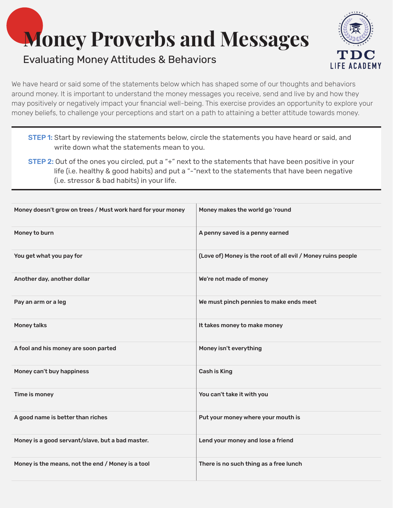## **Money Proverbs and Messages**

## Evaluating Money Attitudes & Behaviors



We have heard or said some of the statements below which has shaped some of our thoughts and behaviors around money. It is important to understand the money messages you receive, send and live by and how they may positively or negatively impact your financial well-being. This exercise provides an opportunity to explore your money beliefs, to challenge your perceptions and start on a path to attaining a better attitude towards money.

- **STEP 1:** Start by reviewing the statements below, circle the statements you have heard or said, and write down what the statements mean to you.
- STEP 2: Out of the ones you circled, put a "+" next to the statements that have been positive in your life (i.e. healthy & good habits) and put a "-"next to the statements that have been negative (i.e. stressor & bad habits) in your life.

| Money doesn't grow on trees / Must work hard for your money | Money makes the world go 'round                              |
|-------------------------------------------------------------|--------------------------------------------------------------|
| Money to burn                                               | A penny saved is a penny earned                              |
| You get what you pay for                                    | (Love of) Money is the root of all evil / Money ruins people |
| Another day, another dollar                                 | We're not made of money                                      |
| Pay an arm or a leg                                         | We must pinch pennies to make ends meet                      |
| <b>Money talks</b>                                          | It takes money to make money                                 |
| A fool and his money are soon parted                        | Money isn't everything                                       |
| Money can't buy happiness                                   | <b>Cash is King</b>                                          |
| Time is money                                               | You can't take it with you                                   |
| A good name is better than riches                           | Put your money where your mouth is                           |
| Money is a good servant/slave, but a bad master.            | Lend your money and lose a friend                            |
| Money is the means, not the end / Money is a tool           | There is no such thing as a free lunch                       |